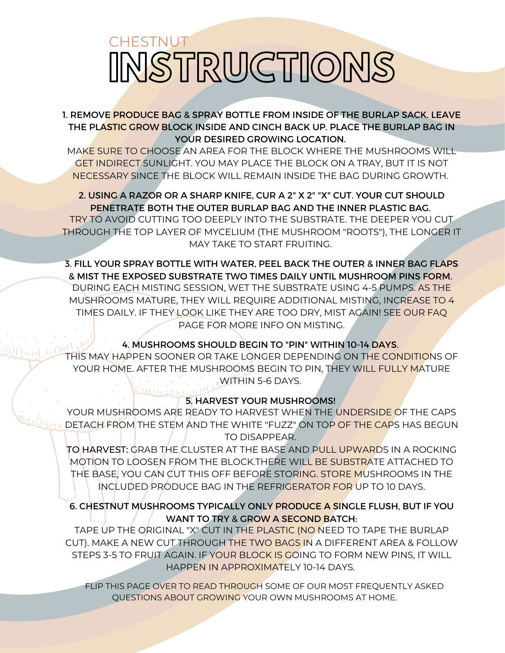# INSTRUCTIONS **CHESTNUT**

## 1. REMOVE PRODUCE BAG & SPRAY BOTTLE FROM INSIDE OF THE BURLAP SACK. LEAVE THE PLASTIC GROW BLOCK INSIDE AND CINCH BACK UP. PLACE THE BURLAP BAG IN YOUR DESIRED GROWING LOCATION.

MAKE SURE TO CHOOSE AN AREA FOR THE BLOCK WHERE THE MUSHROOMS WILL GET INDIRECT SUNLIGHT. YOU MAY PLACE THE BLOCK ON A TRAY, BUT IT IS NOT NECESSARY SINCE THE BLOCK WILL REMAIN INSIDE THE BAG DURING GROWTH.

# 2. USING A RAZOR OR A SHARP KNIFE, CUR A 2" X 2" "X" CUT. YOUR CUT SHOULD PENETRATE BOTH THE OUTER BURLAP BAG AND THE INNER PLASTIC BAG.

TRY TO AVOID CUTTING TOO DEEPLY INTO THE SUBSTRATE. THE DEEPER YOU CUT THROUGH THE TOP LAYER OF MYCELIUM (THE MUSHROOM "ROOTS"), THE LONGER IT MAY TAKE TO START FRUITING.

3. FILL YOUR SPRAY BOTTLE WITH WATER, PEEL BACK THE OUTER & INNER BAG FLAPS & MIST THE EXPOSED SUBSTRATE TWO TIMES DAILY UNTIL MUSHROOM PINS FORM. DURING EACH MISTING SESSION, WET THE SUBSTRATE USING 4-5 PUMPS. AS THE MUSHROOMS MATURE, THEY WILL REQUIRE ADDITIONAL MISTING, INCREASE TO 4 TIMES DAILY. IF THEY LOOK LIKE THEY ARE TOO DRY, MIST AGAIN! SEE OUR FAQ PAGE FOR MORE INFO ON MISTING.

# 4. MUSHROOMS SHOULD BEGIN TO "PIN" WITHIN 10-14 DAYS.

THIS MAY HAPPEN SOONER OR TAKE LONGER DEPENDING ON THE CONDITIONS OF YOUR HOME. AFTER THE MUSHROOMS BEGIN TO PIN, THEY WILL FULLY MATURE WITHIN 5-6 DAYS.

# 5. HARVEST YOUR MUSHROOMS!

YOUR MUSHROOMS ARE READY TO HARVEST WHEN THE UNDERSIDE OF THE CAPS DETACH FROM THE STEM AND THE WHITE "FUZZ" ON TOP OF THE CAPS HAS BEGUN TO DISAPPEAR.

TO HARVEST: GRAB THE CLUSTER AT THE BASE AND PULL UPWARDS IN A ROCKING MOTION TO LOOSEN FROM THE BLOCK.THERE WILL BE SUBSTRATE ATTACHED TO THE BASE, YOU CAN CUT THIS OFF BEFORE STORING. STORE MUSHROOMS IN THE INCLUDED PRODUCE BAG IN THE REFRIGERATOR FOR UP TO 10 DAYS.

# 6. CHESTNUT MUSHROOMS TYPICALLY ONLY PRODUCE A SINGLE FLUSH, BUT IF YOU WANT TO TRY & GROW A SECOND BATCH:

TAPE UP THE ORIGINAL "X" CUT IN THE PLASTIC (NO NEED TO TAPE THE BURLAP CUT). MAKE A NEW CUT THROUGH THE TWO BAGS IN A DIFFERENT AREA & FOLLOW STEPS 3-5 TO FRUIT AGAIN. IF YOUR BLOCK IS GOING TO FORM NEW PINS, IT WILL HAPPEN IN APPROXIMATELY 10-14 DAYS.

FLIP THIS PAGE OVER TO READ THROUGH SOME OF OUR MOST FREQUENTLY ASKED QUESTIONS ABOUT GROWING YOUR OWN MUSHROOMS AT HOME.